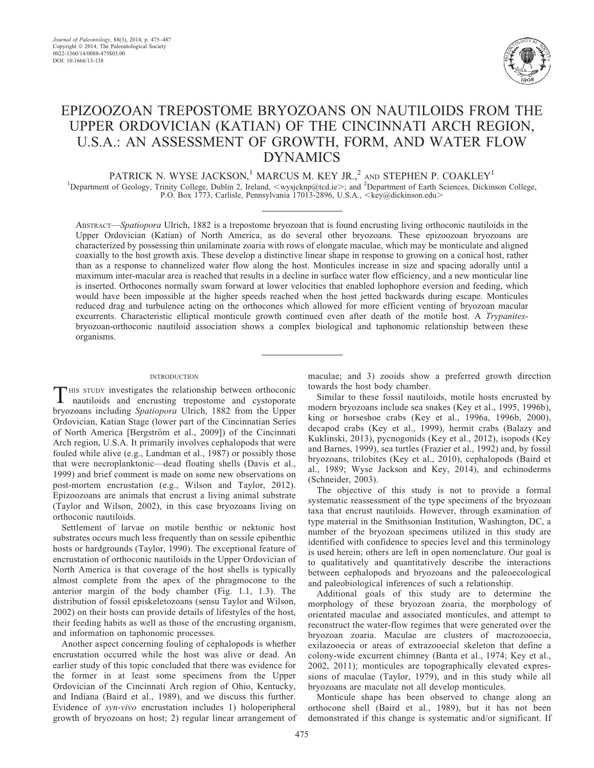

# EPIZOOZOAN TREPOSTOME BRYOZOANS ON NAUTILOIDS FROM THE UPPER ORDOVICIAN (KATIAN) OF THE CINCINNATI ARCH REGION, U.S.A.: AN ASSESSMENT OF GROWTH, FORM, AND WATER FLOW DYNAMICS

PATRICK N. WYSE JACKSON,<sup>1</sup> MARCUS M. KEY JR.,<sup>2</sup> AND STEPHEN P. COAKLEY<sup>1</sup> <sup>1</sup>Department of Geology, Trinity College, Dublin 2, Ireland, <wysjcknp@tcd.ie>; and <sup>2</sup>Department of Earth Sciences, Dickinson College, P.O. Box 1773, Carlisle, Pennsylvania 17013-2896, U.S.A., <key@dickinson.edu>

ABSTRACT—Spatiopora Ulrich, 1882 is a trepostome bryozoan that is found encrusting living orthoconic nautiloids in the Upper Ordovician (Katian) of North America, as do several other bryozoans. These epizoozoan bryozoans are characterized by possessing thin unilaminate zoaria with rows of elongate maculae, which may be monticulate and aligned coaxially to the host growth axis. These develop a distinctive linear shape in response to growing on a conical host, rather than as a response to channelized water flow along the host. Monticules increase in size and spacing adorally until a maximum inter-macular area is reached that results in a decline in surface water flow efficiency, and a new monticular line is inserted. Orthocones normally swam forward at lower velocities that enabled lophophore eversion and feeding, which would have been impossible at the higher speeds reached when the host jetted backwards during escape. Monticules reduced drag and turbulence acting on the orthocones which allowed for more efficient venting of bryozoan macular excurrents. Characteristic elliptical monticule growth continued even after death of the motile host. A Trypanitesbryozoan-orthoconic nautiloid association shows a complex biological and taphonomic relationship between these organisms.

## **INTRODUCTION**

THIS STUDY investigates the relationship between orthoconic nautiloids and encrusting trepostome and cystoporate bryozoans including Spatiopora Ulrich, 1882 from the Upper Ordovician, Katian Stage (lower part of the Cincinnatian Series of North America [Bergström et al., 2009]) of the Cincinnati Arch region, U.S.A. It primarily involves cephalopods that were fouled while alive (e.g., Landman et al., 1987) or possibly those that were necroplanktonic—dead floating shells (Davis et al., 1999) and brief comment is made on some new observations on post-mortem encrustation (e.g., Wilson and Taylor, 2012). Epizoozoans are animals that encrust a living animal substrate (Taylor and Wilson, 2002), in this case bryozoans living on orthoconic nautiloids.

Settlement of larvae on motile benthic or nektonic host substrates occurs much less frequently than on sessile epibenthic hosts or hardgrounds (Taylor, 1990). The exceptional feature of encrustation of orthoconic nautiloids in the Upper Ordovician of North America is that coverage of the host shells is typically almost complete from the apex of the phragmocone to the anterior margin of the body chamber (Fig. 1.1, 1.3). The distribution of fossil episkeletozoans (sensu Taylor and Wilson, 2002) on their hosts can provide details of lifestyles of the host, their feeding habits as well as those of the encrusting organism, and information on taphonomic processes.

Another aspect concerning fouling of cephalopods is whether encrustation occurred while the host was alive or dead. An earlier study of this topic concluded that there was evidence for the former in at least some specimens from the Upper Ordovician of the Cincinnati Arch region of Ohio, Kentucky, and Indiana (Baird et al., 1989), and we discuss this further. Evidence of syn-vivo encrustation includes 1) holoperipheral growth of bryozoans on host; 2) regular linear arrangement of maculae; and 3) zooids show a preferred growth direction towards the host body chamber.

Similar to these fossil nautiloids, motile hosts encrusted by modern bryozoans include sea snakes (Key et al., 1995, 1996b), king or horseshoe crabs (Key et al., 1996a, 1996b, 2000), decapod crabs (Key et al., 1999), hermit crabs (Balazy and Kuklinski, 2013), pycnogonids (Key et al., 2012), isopods (Key and Barnes, 1999), sea turtles (Frazier et al., 1992) and, by fossil bryozoans, trilobites (Key et al., 2010), cephalopods (Baird et al., 1989; Wyse Jackson and Key, 2014), and echinoderms (Schneider, 2003).

The objective of this study is not to provide a formal systematic reassessment of the type specimens of the bryozoan taxa that encrust nautiloids. However, through examination of type material in the Smithsonian Institution, Washington, DC, a number of the bryozoan specimens utilized in this study are identified with confidence to species level and this terminology is used herein; others are left in open nomenclature. Our goal is to qualitatively and quantitatively describe the interactions between cephalopods and bryozoans and the paleoecological and paleobiological inferences of such a relationship.

Additional goals of this study are to determine the morphology of these bryozoan zoaria, the morphology of orientated maculae and associated monticules, and attempt to reconstruct the water-flow regimes that were generated over the bryozoan zoaria. Maculae are clusters of macrozooecia, exilazooecia or areas of extrazooecial skeleton that define a colony-wide excurrent chimney (Banta et al., 1974; Key et al., 2002, 2011); monticules are topographically elevated expressions of maculae (Taylor, 1979), and in this study while all bryozoans are maculate not all develop monticules.

Monticule shape has been observed to change along an orthocone shell (Baird et al., 1989), but it has not been demonstrated if this change is systematic and/or significant. If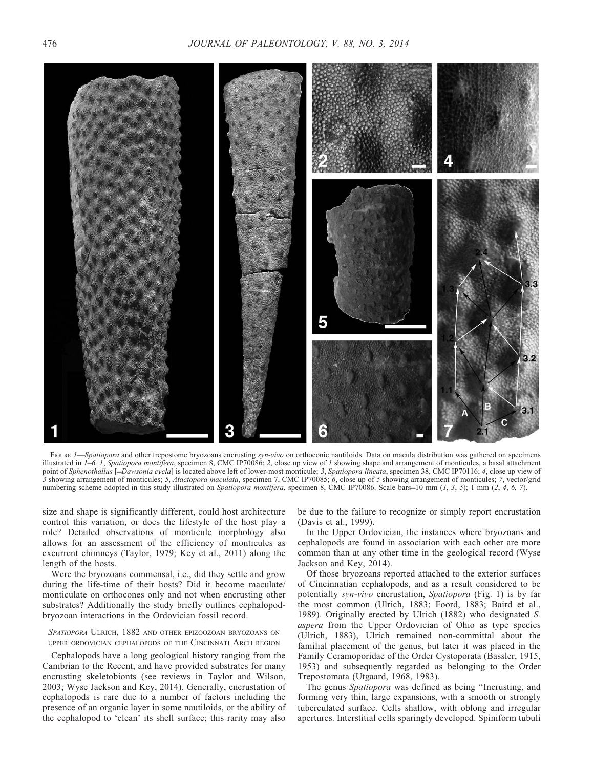

FIGURE 1—Spatiopora and other trepostome bryozoans encrusting syn-vivo on orthoconic nautiloids. Data on macula distribution was gathered on specimens illustrated in  $1-6$ . 1, Spatiopora montifera, specimen 8, CMC IP70086; 2, close up view of 1 showing shape and arrangement of monticules, a basal attachment point of Sphenothallus [=Dawsonia cycla] is located above left of lower-most monticule; 3, Spatiopora lineata, specimen 38, CMC IP70116; 4, close up view of 3 showing arrangement of monticules; 5, Atactopora maculata, specimen 7, CMC IP70085; 6, close up of 5 showing arrangement of monticules; 7, vector/grid numbering scheme adopted in this study illustrated on Spatiopora montifera, specimen 8, CMC IP70086. Scale bars=10 mm (1, 3, 5); 1 mm (2, 4, 6, 7).

size and shape is significantly different, could host architecture control this variation, or does the lifestyle of the host play a role? Detailed observations of monticule morphology also allows for an assessment of the efficiency of monticules as excurrent chimneys (Taylor, 1979; Key et al., 2011) along the length of the hosts.

Were the bryozoans commensal, i.e., did they settle and grow during the life-time of their hosts? Did it become maculate/ monticulate on orthocones only and not when encrusting other substrates? Additionally the study briefly outlines cephalopodbryozoan interactions in the Ordovician fossil record.

# SPATIOPORA ULRICH, 1882 AND OTHER EPIZOOZOAN BRYOZOANS ON UPPER ORDOVICIAN CEPHALOPODS OF THE CINCINNATI ARCH REGION

Cephalopods have a long geological history ranging from the Cambrian to the Recent, and have provided substrates for many encrusting skeletobionts (see reviews in Taylor and Wilson, 2003; Wyse Jackson and Key, 2014). Generally, encrustation of cephalopods is rare due to a number of factors including the presence of an organic layer in some nautiloids, or the ability of the cephalopod to 'clean' its shell surface; this rarity may also

be due to the failure to recognize or simply report encrustation (Davis et al., 1999).

In the Upper Ordovician, the instances where bryozoans and cephalopods are found in association with each other are more common than at any other time in the geological record (Wyse Jackson and Key, 2014).

Of those bryozoans reported attached to the exterior surfaces of Cincinnatian cephalopods, and as a result considered to be potentially syn-vivo encrustation, Spatiopora (Fig. 1) is by far the most common (Ulrich, 1883; Foord, 1883; Baird et al., 1989). Originally erected by Ulrich (1882) who designated S. aspera from the Upper Ordovician of Ohio as type species (Ulrich, 1883), Ulrich remained non-committal about the familial placement of the genus, but later it was placed in the Family Ceramoporidae of the Order Cystoporata (Bassler, 1915, 1953) and subsequently regarded as belonging to the Order Trepostomata (Utgaard, 1968, 1983).

The genus Spatiopora was defined as being ''Incrusting, and forming very thin, large expansions, with a smooth or strongly tuberculated surface. Cells shallow, with oblong and irregular apertures. Interstitial cells sparingly developed. Spiniform tubuli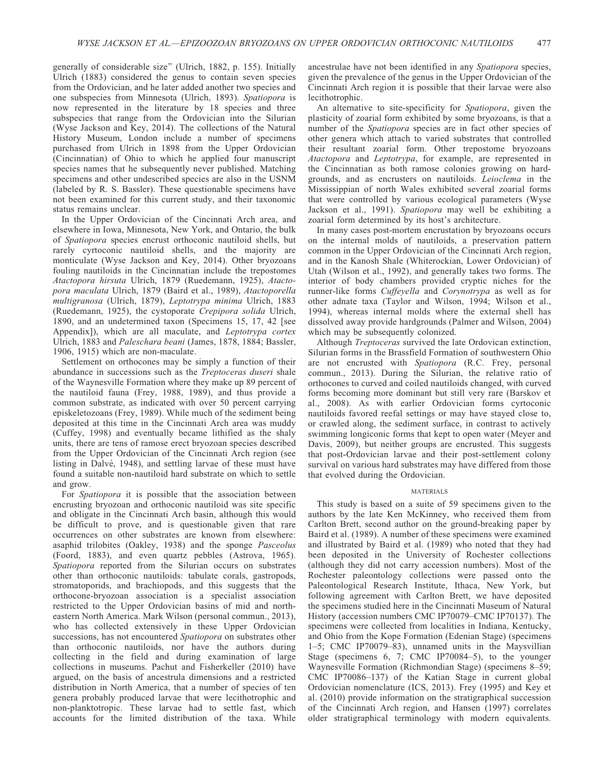generally of considerable size'' (Ulrich, 1882, p. 155). Initially Ulrich (1883) considered the genus to contain seven species from the Ordovician, and he later added another two species and one subspecies from Minnesota (Ulrich, 1893). Spatiopora is now represented in the literature by 18 species and three subspecies that range from the Ordovician into the Silurian (Wyse Jackson and Key, 2014). The collections of the Natural History Museum, London include a number of specimens purchased from Ulrich in 1898 from the Upper Ordovician (Cincinnatian) of Ohio to which he applied four manuscript species names that he subsequently never published. Matching specimens and other undescribed species are also in the USNM (labeled by R. S. Bassler). These questionable specimens have not been examined for this current study, and their taxonomic status remains unclear.

In the Upper Ordovician of the Cincinnati Arch area, and elsewhere in Iowa, Minnesota, New York, and Ontario, the bulk of Spatiopora species encrust orthoconic nautiloid shells, but rarely cyrtoconic nautiloid shells, and the majority are monticulate (Wyse Jackson and Key, 2014). Other bryozoans fouling nautiloids in the Cincinnatian include the trepostomes Atactopora hirsuta Ulrich, 1879 (Ruedemann, 1925), Atactopora maculata Ulrich, 1879 (Baird et al., 1989), Atactoporella multigranosa (Ulrich, 1879), Leptotrypa minima Ulrich, 1883 (Ruedemann, 1925), the cystoporate Crepipora solida Ulrich, 1890, and an undetermined taxon (Specimens 15, 17, 42 [see Appendix]), which are all maculate, and Leptotrypa cortex Ulrich, 1883 and Paleschara beani (James, 1878, 1884; Bassler, 1906, 1915) which are non-maculate.

Settlement on orthocones may be simply a function of their abundance in successions such as the Treptoceras duseri shale of the Waynesville Formation where they make up 89 percent of the nautiloid fauna (Frey, 1988, 1989), and thus provide a common substrate, as indicated with over 50 percent carrying episkeletozoans (Frey, 1989). While much of the sediment being deposited at this time in the Cincinnati Arch area was muddy (Cuffey, 1998) and eventually became lithified as the shaly units, there are tens of ramose erect bryozoan species described from the Upper Ordovician of the Cincinnati Arch region (see listing in Dalvé, 1948), and settling larvae of these must have found a suitable non-nautiloid hard substrate on which to settle and grow.

For Spatiopora it is possible that the association between encrusting bryozoan and orthoconic nautiloid was site specific and obligate in the Cincinnati Arch basin, although this would be difficult to prove, and is questionable given that rare occurrences on other substrates are known from elsewhere: asaphid trilobites (Oakley, 1938) and the sponge Pasceolus (Foord, 1883), and even quartz pebbles (Astrova, 1965). Spatiopora reported from the Silurian occurs on substrates other than orthoconic nautiloids: tabulate corals, gastropods, stromatoporids, and brachiopods, and this suggests that the orthocone-bryozoan association is a specialist association restricted to the Upper Ordovician basins of mid and northeastern North America. Mark Wilson (personal commun., 2013), who has collected extensively in these Upper Ordovician successions, has not encountered Spatiopora on substrates other than orthoconic nautiloids, nor have the authors during collecting in the field and during examination of large collections in museums. Pachut and Fisherkeller (2010) have argued, on the basis of ancestrula dimensions and a restricted distribution in North America, that a number of species of ten genera probably produced larvae that were lecithotrophic and non-planktotropic. These larvae had to settle fast, which accounts for the limited distribution of the taxa. While ancestrulae have not been identified in any Spatiopora species, given the prevalence of the genus in the Upper Ordovician of the Cincinnati Arch region it is possible that their larvae were also lecithotrophic.

An alternative to site-specificity for *Spatiopora*, given the plasticity of zoarial form exhibited by some bryozoans, is that a number of the *Spatiopora* species are in fact other species of other genera which attach to varied substrates that controlled their resultant zoarial form. Other trepostome bryozoans Atactopora and Leptotrypa, for example, are represented in the Cincinnatian as both ramose colonies growing on hardgrounds, and as encrusters on nautiloids. Leioclema in the Mississippian of north Wales exhibited several zoarial forms that were controlled by various ecological parameters (Wyse Jackson et al., 1991). Spatiopora may well be exhibiting a zoarial form determined by its host's architecture.

In many cases post-mortem encrustation by bryozoans occurs on the internal molds of nautiloids, a preservation pattern common in the Upper Ordovician of the Cincinnati Arch region, and in the Kanosh Shale (Whiterockian, Lower Ordovician) of Utah (Wilson et al., 1992), and generally takes two forms. The interior of body chambers provided cryptic niches for the runner-like forms Cuffeyella and Corynotrypa as well as for other adnate taxa (Taylor and Wilson, 1994; Wilson et al., 1994), whereas internal molds where the external shell has dissolved away provide hardgrounds (Palmer and Wilson, 2004) which may be subsequently colonized.

Although Treptoceras survived the late Ordovican extinction, Silurian forms in the Brassfield Formation of southwestern Ohio are not encrusted with Spatiopora (R.C. Frey, personal commun., 2013). During the Silurian, the relative ratio of orthocones to curved and coiled nautiloids changed, with curved forms becoming more dominant but still very rare (Barskov et al., 2008). As with earlier Ordovician forms cyrtoconic nautiloids favored reefal settings or may have stayed close to, or crawled along, the sediment surface, in contrast to actively swimming longiconic forms that kept to open water (Meyer and Davis, 2009), but neither groups are encrusted. This suggests that post-Ordovician larvae and their post-settlement colony survival on various hard substrates may have differed from those that evolved during the Ordovician.

## MATERIALS

This study is based on a suite of 59 specimens given to the authors by the late Ken McKinney, who received them from Carlton Brett, second author on the ground-breaking paper by Baird et al. (1989). A number of these specimens were examined and illustrated by Baird et al. (1989) who noted that they had been deposited in the University of Rochester collections (although they did not carry accession numbers). Most of the Rochester paleontology collections were passed onto the Paleontological Research Institute, Ithaca, New York, but following agreement with Carlton Brett, we have deposited the specimens studied here in the Cincinnati Museum of Natural History (accession numbers CMC IP70079–CMC IP70137). The specimens were collected from localities in Indiana, Kentucky, and Ohio from the Kope Formation (Edenian Stage) (specimens 1–5; CMC IP70079–83), unnamed units in the Maysvillian Stage (specimens 6, 7; CMC IP70084–5), to the younger Waynesville Formation (Richmondian Stage) (specimens 8–59; CMC IP70086–137) of the Katian Stage in current global Ordovician nomenclature (ICS, 2013). Frey (1995) and Key et al. (2010) provide information on the stratigraphical succession of the Cincinnati Arch region, and Hansen (1997) correlates older stratigraphical terminology with modern equivalents.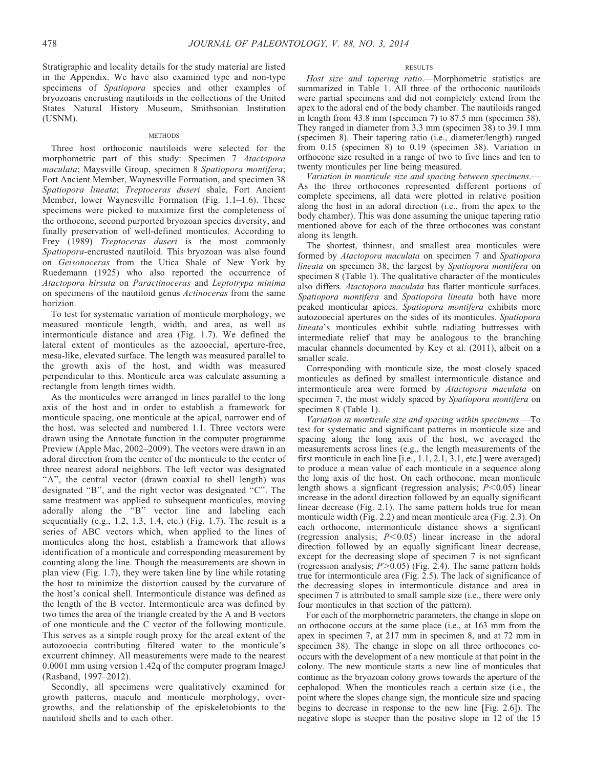Stratigraphic and locality details for the study material are listed in the Appendix. We have also examined type and non-type specimens of Spatiopora species and other examples of bryozoans encrusting nautiloids in the collections of the United States Natural History Museum, Smithsonian Institution (USNM).

## **METHODS**

Three host orthoconic nautiloids were selected for the morphometric part of this study: Specimen 7 Atactopora maculata; Maysville Group, specimen 8 Spatiopora montifera; Fort Ancient Member, Waynesville Formation, and specimen 38 Spatiopora lineata; Treptoceras duseri shale, Fort Ancient Member, lower Waynesville Formation (Fig. 1.1–1.6). These specimens were picked to maximize first the completeness of the orthocone, second purported bryozoan species diversity, and finally preservation of well-defined monticules. According to Frey (1989) Treptoceras duseri is the most commonly Spatiopora-encrusted nautiloid. This bryozoan was also found on Geisonoceras from the Utica Shale of New York by Ruedemann (1925) who also reported the occurrence of Atactopora hirsuta on Paractinoceras and Leptotrypa minima on specimens of the nautiloid genus Actinoceras from the same horizion.

To test for systematic variation of monticule morphology, we measured monticule length, width, and area, as well as intermonticule distance and area (Fig. 1.7). We defined the lateral extent of monticules as the azooecial, aperture-free, mesa-like, elevated surface. The length was measured parallel to the growth axis of the host, and width was measured perpendicular to this. Monticule area was calculate assuming a rectangle from length times width.

As the monticules were arranged in lines parallel to the long axis of the host and in order to establish a framework for monticule spacing, one monticule at the apical, narrower end of the host, was selected and numbered 1.1. Three vectors were drawn using the Annotate function in the computer programme Preview (Apple Mac, 2002–2009). The vectors were drawn in an adoral direction from the center of the monticule to the center of three nearest adoral neighbors. The left vector was designated "A", the central vector (drawn coaxial to shell length) was designated ''B'', and the right vector was designated ''C''. The same treatment was applied to subsequent monticules, moving adorally along the ''B'' vector line and labeling each sequentially (e.g., 1.2, 1.3, 1.4, etc.) (Fig. 1.7). The result is a series of ABC vectors which, when applied to the lines of monticules along the host, establish a framework that allows identification of a monticule and corresponding measurement by counting along the line. Though the measurements are shown in plan view (Fig. 1.7), they were taken line by line while rotating the host to minimize the distortion caused by the curvature of the host's conical shell. Intermonticule distance was defined as the length of the B vector. Intermonticule area was defined by two times the area of the triangle created by the A and B vectors of one monticule and the C vector of the following monticule. This serves as a simple rough proxy for the areal extent of the autozooecia contributing filtered water to the monticule's excurrent chimney. All measurements were made to the nearest 0.0001 mm using version 1.42q of the computer program ImageJ (Rasband, 1997–2012).

Secondly, all specimens were qualitatively examined for growth patterns, macule and monticule morphology, overgrowths, and the relationship of the episkeletobionts to the nautiloid shells and to each other.

## RESULTS

Host size and tapering ratio.—Morphometric statistics are summarized in Table 1. All three of the orthoconic nautiloids were partial specimens and did not completely extend from the apex to the adoral end of the body chamber. The nautiloids ranged in length from 43.8 mm (specimen 7) to 87.5 mm (specimen 38). They ranged in diameter from 3.3 mm (specimen 38) to 39.1 mm (specimen 8). Their tapering ratio (i.e., diameter/length) ranged from 0.15 (specimen 8) to 0.19 (specimen 38). Variation in orthocone size resulted in a range of two to five lines and ten to twenty monticules per line being measured.

Variation in monticule size and spacing between specimens.— As the three orthocones represented different portions of complete specimens, all data were plotted in relative position along the host in an adoral direction (i.e., from the apex to the body chamber). This was done assuming the unique tapering ratio mentioned above for each of the three orthocones was constant along its length.

The shortest, thinnest, and smallest area monticules were formed by Atactopora maculata on specimen 7 and Spatiopora lineata on specimen 38, the largest by Spatiopora montifera on specimen 8 (Table 1). The qualitative character of the monticules also differs. Atactopora maculata has flatter monticule surfaces. Spatiopora montifera and Spatiopora lineata both have more peaked monticular apices. Spatiopora montifera exhibits more autozooecial apertures on the sides of its monticules. Spatiopora lineata's monticules exhibit subtle radiating buttresses with intermediate relief that may be analogous to the branching macular channels documented by Key et al. (2011), albeit on a smaller scale.

Corresponding with monticule size, the most closely spaced monticules as defined by smallest intermonticule distance and intermonticule area were formed by Atactopora maculata on specimen 7, the most widely spaced by Spatiopora montifera on specimen 8 (Table 1).

Variation in monticule size and spacing within specimens.—To test for systematic and significant patterns in monticule size and spacing along the long axis of the host, we averaged the measurements across lines (e.g., the length measurements of the first monticule in each line [i.e., 1.1, 2.1, 3.1, etc.] were averaged) to produce a mean value of each monticule in a sequence along the long axis of the host. On each orthocone, mean monticule length shows a signficant (regression analysis;  $P<0.05$ ) linear increase in the adoral direction followed by an equally significant linear decrease (Fig. 2.1). The same pattern holds true for mean monticule width (Fig. 2.2) and mean monticule area (Fig. 2.3). On each orthocone, intermonticule distance shows a signficant (regression analysis;  $P<0.05$ ) linear increase in the adoral direction followed by an equally significant linear decrease, except for the decreasing slope of specimen 7 is not signficant (regression analysis;  $P > 0.05$ ) (Fig. 2.4). The same pattern holds true for intermonticule area (Fig. 2.5). The lack of significance of the decreasing slopes in intermonticule distance and area in specimen 7 is attributed to small sample size (i.e., there were only four monticules in that section of the pattern).

For each of the morphometric parameters, the change in slope on an orthocone occurs at the same place (i.e., at 163 mm from the apex in specimen 7, at 217 mm in specimen 8, and at 72 mm in specimen 38). The change in slope on all three orthocones cooccurs with the development of a new monticule at that point in the colony. The new monticule starts a new line of monticules that continue as the bryozoan colony grows towards the aperture of the cephalopod. When the monticules reach a certain size (i.e., the point where the slopes change sign, the monticule size and spacing begins to decrease in response to the new line [Fig. 2.6]). The negative slope is steeper than the positive slope in 12 of the 15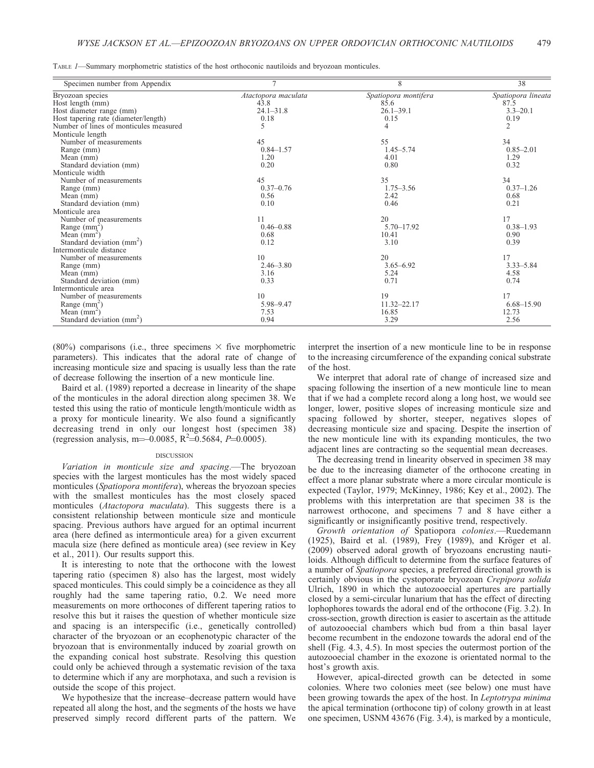| Specimen number from Appendix          |                     | 8                    | 38                 |
|----------------------------------------|---------------------|----------------------|--------------------|
| Bryozoan species                       | Atactopora maculata | Spatiopora montifera | Spatiopora lineata |
| Host length (mm)                       | 43.8                | 85.6                 | 87.5               |
| Host diameter range (mm)               | $24.1 - 31.8$       | $26.1 - 39.1$        | $3.3 - 20.1$       |
| Host tapering rate (diameter/length)   | 0.18                | 0.15                 | 0.19               |
| Number of lines of monticules measured | 5                   | 4                    | 2                  |
| Monticule length                       |                     |                      |                    |
| Number of measurements                 | 45                  | 55                   | 34                 |
| Range (mm)                             | $0.84 - 1.57$       | $1.45 - 5.74$        | $0.85 - 2.01$      |
| Mean (mm)                              | 1.20                | 4.01                 | 1.29               |
| Standard deviation (mm)                | 0.20                | 0.80                 | 0.32               |
| Monticule width                        |                     |                      |                    |
| Number of measurements                 | 45                  | 35                   | 34                 |
| Range (mm)                             | $0.37 - 0.76$       | $1.75 - 3.56$        | $0.37 - 1.26$      |
| Mean (mm)                              | 0.56                | 2.42                 | 0.68               |
| Standard deviation (mm)                | 0.10                | 0.46                 | 0.21               |
| Monticule area                         |                     |                      |                    |
| Number of measurements                 | 11                  | 20                   | 17                 |
| Range $(mm2)$                          | $0.46 - 0.88$       | $5.70 - 17.92$       | $0.38 - 1.93$      |
| Mean $(mm2)$                           | 0.68                | 10.41                | 0.90               |
| Standard deviation $(mm2)$             | 0.12                | 3.10                 | 0.39               |
| Intermonticule distance                |                     |                      |                    |
| Number of measurements                 | 10                  | 20                   | 17                 |
| Range (mm)                             | $2.46 - 3.80$       | $3.65 - 6.92$        | $3.33 - 5.84$      |
| Mean (mm)                              | 3.16                | 5.24                 | 4.58               |
| Standard deviation (mm)                | 0.33                | 0.71                 | 0.74               |
| Intermonticule area                    |                     |                      |                    |
| Number of measurements                 | 10                  | 19                   | 17                 |
| Range $\text{(mm)}^2$ )                | 5.98-9.47           | 11.32-22.17          | $6.68 - 15.90$     |
| Mean $(mm2)$                           | 7.53                | 16.85                | 12.73              |
| Standard deviation $(mm2)$             | 0.94                | 3.29                 | 2.56               |

TABLE 1—Summary morphometric statistics of the host orthoconic nautiloids and bryozoan monticules.

(80%) comparisons (i.e., three specimens  $\times$  five morphometric parameters). This indicates that the adoral rate of change of increasing monticule size and spacing is usually less than the rate of decrease following the insertion of a new monticule line.

Baird et al. (1989) reported a decrease in linearity of the shape of the monticules in the adoral direction along specimen 38. We tested this using the ratio of monticule length/monticule width as a proxy for monticule linearity. We also found a significantly decreasing trend in only our longest host (specimen 38) (regression analysis, m= $-0.0085$ , R<sup>2</sup> $= 0.5684$ , P= $0.0005$ ).

#### DISCUSSION

Variation in monticule size and spacing.—The bryozoan species with the largest monticules has the most widely spaced monticules (Spatiopora montifera), whereas the bryozoan species with the smallest monticules has the most closely spaced monticules (Atactopora maculata). This suggests there is a consistent relationship between monticule size and monticule spacing. Previous authors have argued for an optimal incurrent area (here defined as intermonticule area) for a given excurrent macula size (here defined as monticule area) (see review in Key et al., 2011). Our results support this.

It is interesting to note that the orthocone with the lowest tapering ratio (specimen 8) also has the largest, most widely spaced monticules. This could simply be a coincidence as they all roughly had the same tapering ratio, 0.2. We need more measurements on more orthocones of different tapering ratios to resolve this but it raises the question of whether monticule size and spacing is an interspecific (i.e., genetically controlled) character of the bryozoan or an ecophenotypic character of the bryozoan that is environmentally induced by zoarial growth on the expanding conical host substrate. Resolving this question could only be achieved through a systematic revision of the taxa to determine which if any are morphotaxa, and such a revision is outside the scope of this project.

We hypothesize that the increase–decrease pattern would have repeated all along the host, and the segments of the hosts we have preserved simply record different parts of the pattern. We

interpret the insertion of a new monticule line to be in response to the increasing circumference of the expanding conical substrate of the host.

We interpret that adoral rate of change of increased size and spacing following the insertion of a new monticule line to mean that if we had a complete record along a long host, we would see longer, lower, positive slopes of increasing monticule size and spacing followed by shorter, steeper, negatives slopes of decreasing monticule size and spacing. Despite the insertion of the new monticule line with its expanding monticules, the two adjacent lines are contracting so the sequential mean decreases.

The decreasing trend in linearity observed in specimen 38 may be due to the increasing diameter of the orthocone creating in effect a more planar substrate where a more circular monticule is expected (Taylor, 1979; McKinney, 1986; Key et al., 2002). The problems with this interpretation are that specimen 38 is the narrowest orthocone, and specimens 7 and 8 have either a significantly or insignificantly positive trend, respectively.

Growth orientation of Spatiopora colonies.—Ruedemann (1925), Baird et al. (1989), Frey (1989), and Kröger et al. (2009) observed adoral growth of bryozoans encrusting nautiloids. Although difficult to determine from the surface features of a number of Spatiopora species, a preferred directional growth is certainly obvious in the cystoporate bryozoan Crepipora solida Ulrich, 1890 in which the autozooecial apertures are partially closed by a semi-circular lunarium that has the effect of directing lophophores towards the adoral end of the orthocone (Fig. 3.2). In cross-section, growth direction is easier to ascertain as the attitude of autozooecial chambers which bud from a thin basal layer become recumbent in the endozone towards the adoral end of the shell (Fig. 4.3, 4.5). In most species the outermost portion of the autozooecial chamber in the exozone is orientated normal to the host's growth axis.

However, apical-directed growth can be detected in some colonies. Where two colonies meet (see below) one must have been growing towards the apex of the host. In Leptotrypa minima the apical termination (orthocone tip) of colony growth in at least one specimen, USNM 43676 (Fig. 3.4), is marked by a monticule,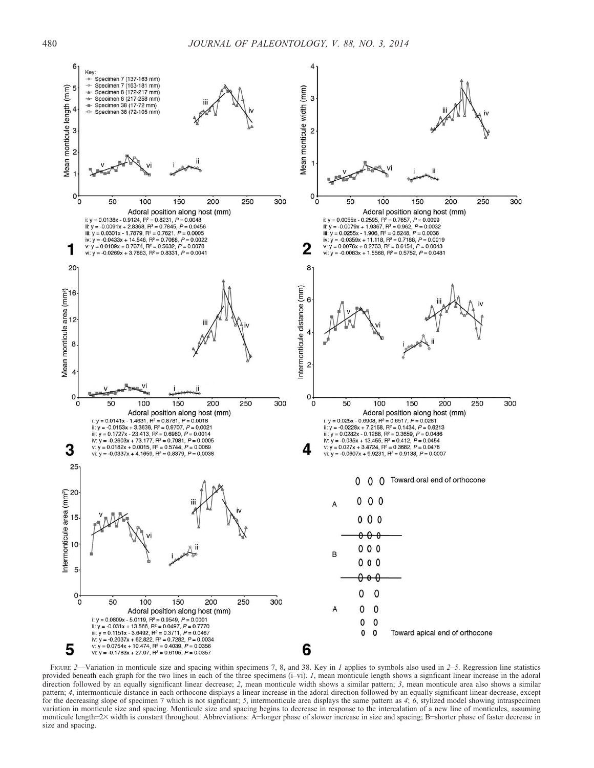

FIGURE 2—Variation in monticule size and spacing within specimens 7, 8, and 38. Key in 1 applies to symbols also used in 2–5. Regression line statistics provided beneath each graph for the two lines in each of the three specimens (i–vi). *I*, mean monticule length shows a signficant linear increase in the adoral direction followed by an equally significant linear decrease; 2, mean monticule width shows a similar pattern; 3, mean monticule area also shows a similar pattern; 4, intermonticule distance in each orthocone displays a linear increase in the adoral direction followed by an equally significant linear decrease, except for the decreasing slope of specimen 7 which is not signficant; 5, intermonticule area displays the same pattern as 4;  $\delta$ , stylized model showing intraspecimen variation in monticule size and spacing. Monticule size and spacing begins to decrease in response to the intercalation of a new line of monticules, assuming monticule length=2× width is constant throughout. Abbreviations: A=longer phase of slower increase in size and spacing; B=shorter phase of faster decrease in size and spacing.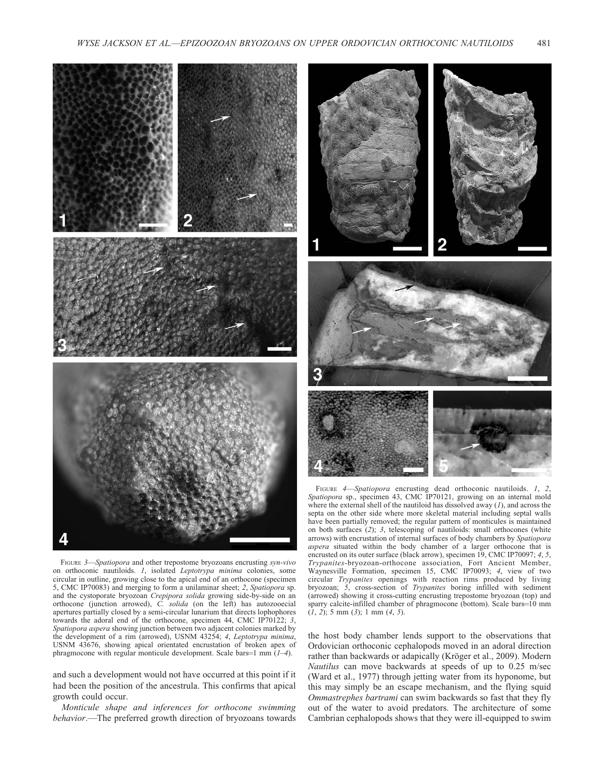

FIGURE 3-Spatiopora and other trepostome bryozoans encrusting syn-vivo on orthoconic nautiloids. 1, isolated Leptotrypa minima colonies, some circular in outline, growing close to the apical end of an orthocone (specimen 5, CMC IP70083) and merging to form a unilaminar sheet; 2, Spatiopora sp. and the cystoporate bryozoan Crepipora solida growing side-by-side on an orthocone (junction arrowed),  $\hat{C}$  solida (on the left) has autozooecial apertures partially closed by a semi-circular lunarium that directs lophophores towards the adoral end of the orthocone, specimen 44, CMC IP70122; 3, Spatiopora aspera showing junction between two adjacent colonies marked by the development of a rim (arrowed), USNM 43254; 4, Leptotrypa minima, USNM 43676, showing apical orientated encrustation of broken apex of phragmocone with regular monticule development. Scale bars=1 mm  $(1-4)$ .

and such a development would not have occurred at this point if it had been the position of the ancestrula. This confirms that apical growth could occur.

Monticule shape and inferences for orthocone swimming behavior.—The preferred growth direction of bryozoans towards



FIGURE 4-Spatiopora encrusting dead orthoconic nautiloids. 1, 2, Spatiopora sp., specimen 43, CMC IP70121, growing on an internal mold where the external shell of the nautiloid has dissolved away  $(1)$ , and across the septa on the other side where more skeletal material including septal walls have been partially removed; the regular pattern of monticules is maintained on both surfaces  $(2)$ ; 3, telescoping of nautiloids: small orthocones (white arrows) with encrustation of internal surfaces of body chambers by Spatiopora aspera situated within the body chamber of a larger orthocone that is encrusted on its outer surface (black arrow), specimen 19, CMC IP70097; 4, 5, Trypanites-bryozoan-orthocone association, Fort Ancient Member, Waynesville Formation, specimen 15, CMC IP70093; 4, view of two circular Trypanites openings with reaction rims produced by living bryozoan; 5, cross-section of Trypanites boring infilled with sediment (arrowed) showing it cross-cutting encrusting trepostome bryozoan (top) and sparry calcite-infilled chamber of phragmocone (bottom). Scale bars=10 mm  $(1, 2)$ ; 5 mm (3); 1 mm (4, 5).

the host body chamber lends support to the observations that Ordovician orthoconic cephalopods moved in an adoral direction rather than backwards or adapically (Kröger et al., 2009). Modern Nautilus can move backwards at speeds of up to 0.25 m/sec (Ward et al., 1977) through jetting water from its hyponome, but this may simply be an escape mechanism, and the flying squid Ommastrephes bartrami can swim backwards so fast that they fly out of the water to avoid predators. The architecture of some Cambrian cephalopods shows that they were ill-equipped to swim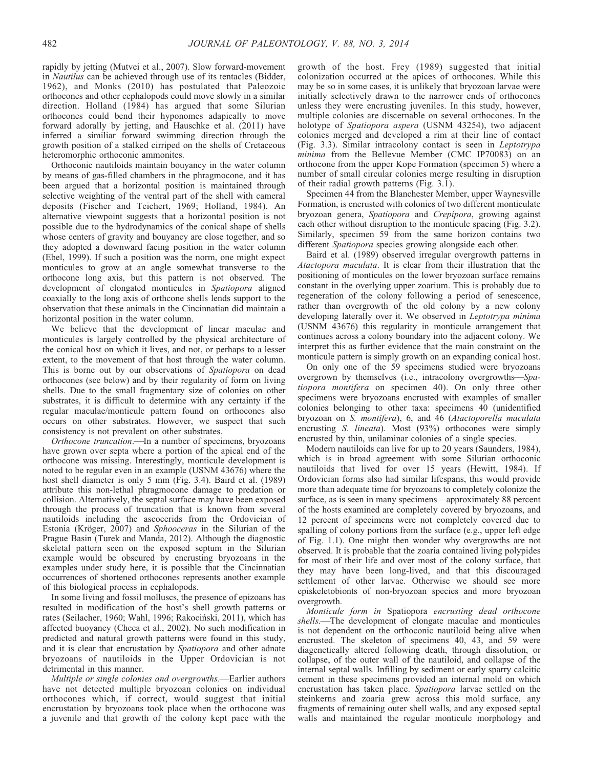rapidly by jetting (Mutvei et al., 2007). Slow forward-movement in Nautilus can be achieved through use of its tentacles (Bidder, 1962), and Monks (2010) has postulated that Paleozoic orthocones and other cephalopods could move slowly in a similar direction. Holland (1984) has argued that some Silurian orthocones could bend their hyponomes adapically to move forward adorally by jetting, and Hauschke et al. (2011) have inferred a similiar forward swimming direction through the growth position of a stalked cirriped on the shells of Cretaceous heteromorphic orthoconic ammonites.

Orthoconic nautiloids maintain bouyancy in the water column by means of gas-filled chambers in the phragmocone, and it has been argued that a horizontal position is maintained through selective weighting of the ventral part of the shell with cameral deposits (Fischer and Teichert, 1969; Holland, 1984). An alternative viewpoint suggests that a horizontal position is not possible due to the hydrodynamics of the conical shape of shells whose centers of gravity and bouyancy are close together, and so they adopted a downward facing position in the water column (Ebel, 1999). If such a position was the norm, one might expect monticules to grow at an angle somewhat transverse to the orthocone long axis, but this pattern is not observed. The development of elongated monticules in Spatiopora aligned coaxially to the long axis of orthcone shells lends support to the observation that these animals in the Cincinnatian did maintain a horizontal position in the water column.

We believe that the development of linear maculae and monticules is largely controlled by the physical architecture of the conical host on which it lives, and not, or perhaps to a lesser extent, to the movement of that host through the water column. This is borne out by our observations of *Spatiopora* on dead orthocones (see below) and by their regularity of form on living shells. Due to the small fragmentary size of colonies on other substrates, it is difficult to determine with any certainty if the regular maculae/monticule pattern found on orthocones also occurs on other substrates. However, we suspect that such consistency is not prevalent on other substrates.

Orthocone truncation.—In a number of specimens, bryozoans have grown over septa where a portion of the apical end of the orthocone was missing. Interestingly, monticule development is noted to be regular even in an example (USNM 43676) where the host shell diameter is only 5 mm (Fig. 3.4). Baird et al. (1989) attribute this non-lethal phragmocone damage to predation or collision. Alternatively, the septal surface may have been exposed through the process of truncation that is known from several nautiloids including the ascocerids from the Ordovician of Estonia (Kröger, 2007) and Sphooceras in the Silurian of the Prague Basin (Turek and Manda, 2012). Although the diagnostic skeletal pattern seen on the exposed septum in the Silurian example would be obscured by encrusting bryozoans in the examples under study here, it is possible that the Cincinnatian occurrences of shortened orthocones represents another example of this biological process in cephalopods.

In some living and fossil molluscs, the presence of epizoans has resulted in modification of the host's shell growth patterns or rates (Seilacher, 1960; Wahl, 1996; Rakociński, 2011), which has affected buoyancy (Checa et al., 2002). No such modification in predicted and natural growth patterns were found in this study, and it is clear that encrustation by Spatiopora and other adnate bryozoans of nautiloids in the Upper Ordovician is not detrimental in this manner.

Multiple or single colonies and overgrowths.—Earlier authors have not detected multiple bryozoan colonies on individual orthocones which, if correct, would suggest that initial encrustation by bryozoans took place when the orthocone was a juvenile and that growth of the colony kept pace with the

growth of the host. Frey (1989) suggested that initial colonization occurred at the apices of orthocones. While this may be so in some cases, it is unlikely that bryozoan larvae were initially selectively drawn to the narrower ends of orthocones unless they were encrusting juveniles. In this study, however, multiple colonies are discernable on several orthocones. In the holotype of *Spatiopora aspera* (USNM 43254), two adjacent colonies merged and developed a rim at their line of contact (Fig. 3.3). Similar intracolony contact is seen in Leptotrypa minima from the Bellevue Member (CMC IP70083) on an orthocone from the upper Kope Formation (specimen 5) where a number of small circular colonies merge resulting in disruption of their radial growth patterns (Fig. 3.1).

Specimen 44 from the Blanchester Member, upper Waynesville Formation, is encrusted with colonies of two different monticulate bryozoan genera, Spatiopora and Crepipora, growing against each other without disruption to the monticule spacing (Fig. 3.2). Similarly, specimen 59 from the same horizon contains two different Spatiopora species growing alongside each other.

Baird et al. (1989) observed irregular overgrowth patterns in Atactopora maculata. It is clear from their illustration that the positioning of monticules on the lower bryozoan surface remains constant in the overlying upper zoarium. This is probably due to regeneration of the colony following a period of senescence, rather than overgrowth of the old colony by a new colony developing laterally over it. We observed in Leptotrypa minima (USNM 43676) this regularity in monticule arrangement that continues across a colony boundary into the adjacent colony. We interpret this as further evidence that the main constraint on the monticule pattern is simply growth on an expanding conical host.

On only one of the 59 specimens studied were bryozoans overgrown by themselves (i.e., intracolony overgrowths—Spatiopora montifera on specimen 40). On only three other specimens were bryozoans encrusted with examples of smaller colonies belonging to other taxa: specimens 40 (unidentified bryozoan on S. montifera), 6, and 46 (Atactoporella maculata encrusting *S. lineata*). Most (93%) orthocones were simply encrusted by thin, unilaminar colonies of a single species.

Modern nautiloids can live for up to 20 years (Saunders, 1984), which is in broad agreement with some Silurian orthoconic nautiloids that lived for over 15 years (Hewitt, 1984). If Ordovician forms also had similar lifespans, this would provide more than adequate time for bryozoans to completely colonize the surface, as is seen in many specimens—approximately 88 percent of the hosts examined are completely covered by bryozoans, and 12 percent of specimens were not completely covered due to spalling of colony portions from the surface (e.g., upper left edge of Fig. 1.1). One might then wonder why overgrowths are not observed. It is probable that the zoaria contained living polypides for most of their life and over most of the colony surface, that they may have been long-lived, and that this discouraged settlement of other larvae. Otherwise we should see more episkeletobionts of non-bryozoan species and more bryozoan overgrowth.

Monticule form in Spatiopora encrusting dead orthocone shells.—The development of elongate maculae and monticules is not dependent on the orthoconic nautiloid being alive when encrusted. The skeleton of specimens 40, 43, and 59 were diagenetically altered following death, through dissolution, or collapse, of the outer wall of the nautiloid, and collapse of the internal septal walls. Infilling by sediment or early sparry calcitic cement in these specimens provided an internal mold on which encrustation has taken place. Spatiopora larvae settled on the steinkerns and zoaria grew across this mold surface, any fragments of remaining outer shell walls, and any exposed septal walls and maintained the regular monticule morphology and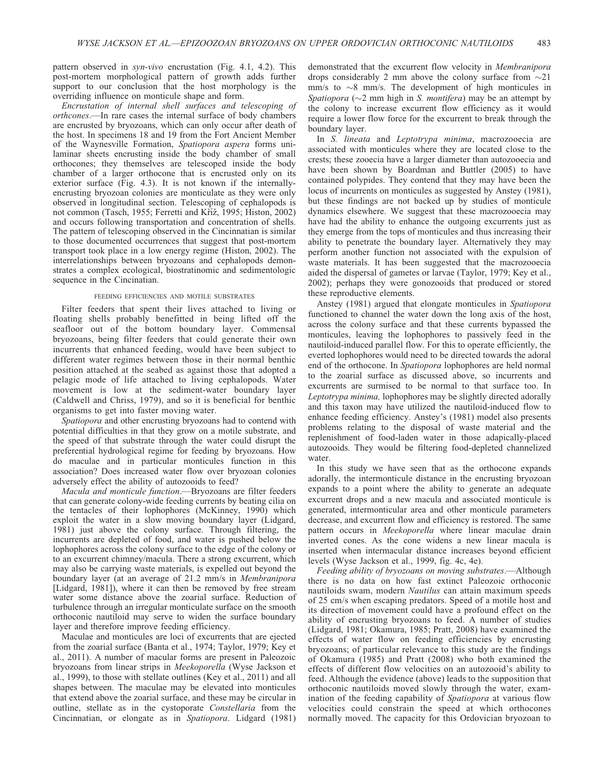pattern observed in syn-vivo encrustation (Fig. 4.1, 4.2). This post-mortem morphological pattern of growth adds further support to our conclusion that the host morphology is the overriding influence on monticule shape and form.

Encrustation of internal shell surfaces and telescoping of orthcones.—In rare cases the internal surface of body chambers are encrusted by bryozoans, which can only occur after death of the host. In specimens 18 and 19 from the Fort Ancient Member of the Waynesville Formation, Spatiopora aspera forms unilaminar sheets encrusting inside the body chamber of small orthocones; they themselves are telescoped inside the body chamber of a larger orthocone that is encrusted only on its exterior surface (Fig. 4.3). It is not known if the internallyencrusting bryozoan colonies are monticulate as they were only observed in longitudinal section. Telescoping of cephalopods is not common (Tasch, 1955; Ferretti and Kříž, 1995; Histon, 2002) and occurs following transportation and concentration of shells. The pattern of telescoping observed in the Cincinnatian is similar to those documented occurrences that suggest that post-mortem transport took place in a low energy regime (Histon, 2002). The interrelationships between bryozoans and cephalopods demonstrates a complex ecological, biostratinomic and sedimentologic sequence in the Cincinatian.

## FEEDING EFFICIENCIES AND MOTILE SUBSTRATES

Filter feeders that spent their lives attached to living or floating shells probably benefitted in being lifted off the seafloor out of the bottom boundary layer. Commensal bryozoans, being filter feeders that could generate their own incurrents that enhanced feeding, would have been subject to different water regimes between those in their normal benthic position attached at the seabed as against those that adopted a pelagic mode of life attached to living cephalopods. Water movement is low at the sediment-water boundary layer (Caldwell and Chriss, 1979), and so it is beneficial for benthic organisms to get into faster moving water.

Spatiopora and other encrusting bryozoans had to contend with potential difficulties in that they grow on a motile substrate, and the speed of that substrate through the water could disrupt the preferential hydrological regime for feeding by bryozoans. How do maculae and in particular monticules function in this association? Does increased water flow over bryozoan colonies adversely effect the ability of autozooids to feed?

Macula and monticule function.—Bryozoans are filter feeders that can generate colony-wide feeding currents by beating cilia on the tentacles of their lophophores (McKinney, 1990) which exploit the water in a slow moving boundary layer (Lidgard, 1981) just above the colony surface. Through filtering, the incurrents are depleted of food, and water is pushed below the lophophores across the colony surface to the edge of the colony or to an excurrent chimney/macula. There a strong excurrent, which may also be carrying waste materials, is expelled out beyond the boundary layer (at an average of 21.2 mm/s in Membranipora [Lidgard, 1981]), where it can then be removed by free stream water some distance above the zoarial surface. Reduction of turbulence through an irregular monticulate surface on the smooth orthoconic nautiloid may serve to widen the surface boundary layer and therefore improve feeding efficiency.

Maculae and monticules are loci of excurrents that are ejected from the zoarial surface (Banta et al., 1974; Taylor, 1979; Key et al., 2011). A number of macular forms are present in Paleozoic bryozoans from linear strips in Meekoporella (Wyse Jackson et al., 1999), to those with stellate outlines (Key et al., 2011) and all shapes between. The maculae may be elevated into monticules that extend above the zoarial surface, and these may be circular in outline, stellate as in the cystoporate Constellaria from the Cincinnatian, or elongate as in Spatiopora. Lidgard (1981) demonstrated that the excurrent flow velocity in Membranipora drops considerably 2 mm above the colony surface from  $\sim$ 21 mm/s to  $\sim$ 8 mm/s. The development of high monticules in Spatiopora ( $\sim$ 2 mm high in S. *montifera*) may be an attempt by the colony to increase excurrent flow efficiency as it would require a lower flow force for the excurrent to break through the boundary layer.

In S. lineata and Leptotrypa minima, macrozooecia are associated with monticules where they are located close to the crests; these zooecia have a larger diameter than autozooecia and have been shown by Boardman and Buttler (2005) to have contained polypides. They contend that they may have been the locus of incurrents on monticules as suggested by Anstey (1981), but these findings are not backed up by studies of monticule dynamics elsewhere. We suggest that these macrozooecia may have had the ability to enhance the outgoing excurrents just as they emerge from the tops of monticules and thus increasing their ability to penetrate the boundary layer. Alternatively they may perform another function not associated with the expulsion of waste materials. It has been suggested that the macrozooecia aided the dispersal of gametes or larvae (Taylor, 1979; Key et al., 2002); perhaps they were gonozooids that produced or stored these reproductive elements.

Anstey (1981) argued that elongate monticules in Spatiopora functioned to channel the water down the long axis of the host, across the colony surface and that these currents bypassed the monticules, leaving the lophophores to passively feed in the nautiloid-induced parallel flow. For this to operate efficiently, the everted lophophores would need to be directed towards the adoral end of the orthocone. In *Spatiopora* lophophores are held normal to the zoarial surface as discussed above, so incurrents and excurrents are surmised to be normal to that surface too. In Leptotrypa minima, lophophores may be slightly directed adorally and this taxon may have utilized the nautiloid-induced flow to enhance feeding efficiency. Anstey's (1981) model also presents problems relating to the disposal of waste material and the replenishment of food-laden water in those adapically-placed autozooids. They would be filtering food-depleted channelized water.

In this study we have seen that as the orthocone expands adorally, the intermonticule distance in the encrusting bryozoan expands to a point where the ability to generate an adequate excurrent drops and a new macula and associated monticule is generated, intermonticular area and other monticule parameters decrease, and excurrent flow and efficiency is restored. The same pattern occurs in Meekoporella where linear maculae drain inverted cones. As the cone widens a new linear macula is inserted when intermacular distance increases beyond efficient levels (Wyse Jackson et al., 1999, fig. 4c, 4e).

Feeding ability of bryozoans on moving substrates.—Although there is no data on how fast extinct Paleozoic orthoconic nautiloids swam, modern Nautilus can attain maximum speeds of 25 cm/s when escaping predators. Speed of a motile host and its direction of movement could have a profound effect on the ability of encrusting bryozoans to feed. A number of studies (Lidgard, 1981; Okamura, 1985; Pratt, 2008) have examined the effects of water flow on feeding efficiencies by encrusting bryozoans; of particular relevance to this study are the findings of Okamura (1985) and Pratt (2008) who both examined the effects of different flow velocities on an autozooid's ability to feed. Although the evidence (above) leads to the supposition that orthoconic nautiloids moved slowly through the water, examination of the feeding capability of Spatiopora at various flow velocities could constrain the speed at which orthocones normally moved. The capacity for this Ordovician bryozoan to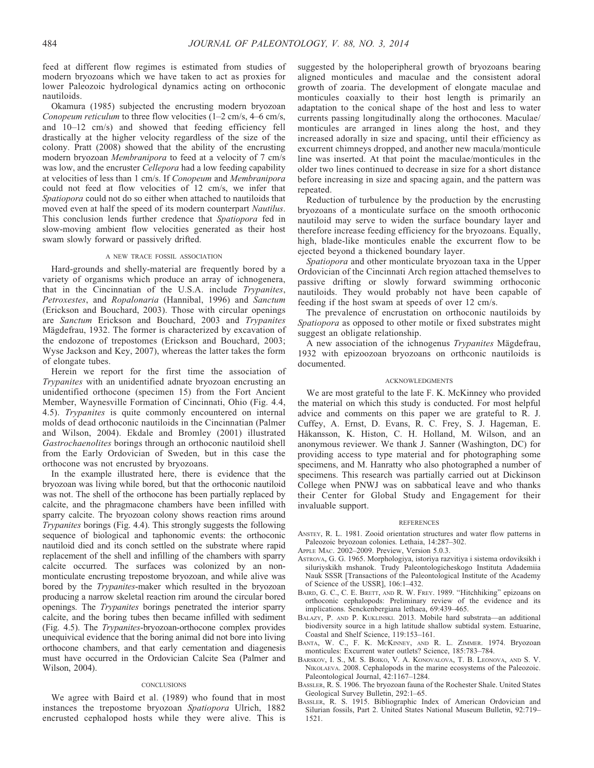feed at different flow regimes is estimated from studies of modern bryozoans which we have taken to act as proxies for lower Paleozoic hydrological dynamics acting on orthoconic nautiloids.

Okamura (1985) subjected the encrusting modern bryozoan Conopeum reticulum to three flow velocities  $(1-2 \text{ cm/s}, 4-6 \text{ cm/s},$ and 10–12 cm/s) and showed that feeding efficiency fell drastically at the higher velocity regardless of the size of the colony. Pratt (2008) showed that the ability of the encrusting modern bryozoan Membranipora to feed at a velocity of 7 cm/s was low, and the encruster Cellepora had a low feeding capability at velocities of less than 1 cm/s. If Conopeum and Membranipora could not feed at flow velocities of 12 cm/s, we infer that Spatiopora could not do so either when attached to nautiloids that moved even at half the speed of its modern counterpart Nautilus. This conclusion lends further credence that Spatiopora fed in slow-moving ambient flow velocities generated as their host swam slowly forward or passively drifted.

## A NEW TRACE FOSSIL ASSOCIATION

Hard-grounds and shelly-material are frequently bored by a variety of organisms which produce an array of ichnogenera, that in the Cincinnatian of the U.S.A. include Trypanites, Petroxestes, and Ropalonaria (Hannibal, 1996) and Sanctum (Erickson and Bouchard, 2003). Those with circular openings are Sanctum Erickson and Bouchard, 2003 and Trypanites Mägdefrau, 1932. The former is characterized by excavation of the endozone of trepostomes (Erickson and Bouchard, 2003; Wyse Jackson and Key, 2007), whereas the latter takes the form of elongate tubes.

Herein we report for the first time the association of Trypanites with an unidentified adnate bryozoan encrusting an unidentified orthocone (specimen 15) from the Fort Ancient Member, Waynesville Formation of Cincinnati, Ohio (Fig. 4.4, 4.5). Trypanites is quite commonly encountered on internal molds of dead orthoconic nautiloids in the Cincinnatian (Palmer and Wilson, 2004). Ekdale and Bromley (2001) illustrated Gastrochaenolites borings through an orthoconic nautiloid shell from the Early Ordovician of Sweden, but in this case the orthocone was not encrusted by bryozoans.

In the example illustrated here, there is evidence that the bryozoan was living while bored, but that the orthoconic nautiloid was not. The shell of the orthocone has been partially replaced by calcite, and the phragmacone chambers have been infilled with sparry calcite. The bryozoan colony shows reaction rims around Trypanites borings (Fig. 4.4). This strongly suggests the following sequence of biological and taphonomic events: the orthoconic nautiloid died and its conch settled on the substrate where rapid replacement of the shell and infilling of the chambers with sparry calcite occurred. The surfaces was colonized by an nonmonticulate encrusting trepostome bryozoan, and while alive was bored by the Trypanites-maker which resulted in the bryozoan producing a narrow skeletal reaction rim around the circular bored openings. The Trypanites borings penetrated the interior sparry calcite, and the boring tubes then became infilled with sediment (Fig. 4.5). The Trypanites-bryozoan-orthocone complex provides unequivical evidence that the boring animal did not bore into living orthocone chambers, and that early cementation and diagenesis must have occurred in the Ordovician Calcite Sea (Palmer and Wilson, 2004).

#### **CONCLUSIONS**

We agree with Baird et al. (1989) who found that in most instances the trepostome bryozoan Spatiopora Ulrich, 1882 encrusted cephalopod hosts while they were alive. This is

suggested by the holoperipheral growth of bryozoans bearing aligned monticules and maculae and the consistent adoral growth of zoaria. The development of elongate maculae and monticules coaxially to their host length is primarily an adaptation to the conical shape of the host and less to water currents passing longitudinally along the orthocones. Maculae/ monticules are arranged in lines along the host, and they increased adorally in size and spacing, until their efficiency as excurrent chimneys dropped, and another new macula/monticule line was inserted. At that point the maculae/monticules in the older two lines continued to decrease in size for a short distance before increasing in size and spacing again, and the pattern was repeated.

Reduction of turbulence by the production by the encrusting bryozoans of a monticulate surface on the smooth orthoconic nautiloid may serve to widen the surface boundary layer and therefore increase feeding efficiency for the bryozoans. Equally, high, blade-like monticules enable the excurrent flow to be ejected beyond a thickened boundary layer.

Spatiopora and other monticulate bryozoan taxa in the Upper Ordovician of the Cincinnati Arch region attached themselves to passive drifting or slowly forward swimming orthoconic nautiloids. They would probably not have been capable of feeding if the host swam at speeds of over 12 cm/s.

The prevalence of encrustation on orthoconic nautiloids by Spatiopora as opposed to other motile or fixed substrates might suggest an obligate relationship.

A new association of the ichnogenus *Trypanites* Mägdefrau, 1932 with epizoozoan bryozoans on orthconic nautiloids is documented.

#### ACKNOWLEDGMENTS

We are most grateful to the late F. K. McKinney who provided the material on which this study is conducted. For most helpful advice and comments on this paper we are grateful to R. J. Cuffey, A. Ernst, D. Evans, R. C. Frey, S. J. Hageman, E. Håkansson, K. Histon, C. H. Holland, M. Wilson, and an anonymous reviewer. We thank J. Sanner (Washington, DC) for providing access to type material and for photographing some specimens, and M. Hanratty who also photographed a number of specimens. This research was partially carried out at Dickinson College when PNWJ was on sabbatical leave and who thanks their Center for Global Study and Engagement for their invaluable support.

## REFERENCES

- ANSTEY, R. L. 1981. Zooid orientation structures and water flow patterns in Paleozoic bryozoan colonies. Lethaia, 14:287–302.
- APPLE MAC. 2002–2009. Preview, Version 5.0.3.
- ASTROVA, G. G. 1965. Morphologiya, istoriya razvitiya i sistema ordoviksikh i siluriyskikh mshanok. Trudy Paleontologicheskogo Instituta Adademiia Nauk SSSR [Transactions of the Paleontological Institute of the Academy of Science of the USSR], 106:1–432.
- BAIRD, G. C., C. E. BRETT, AND R. W. FREY. 1989. "Hitchhiking" epizoans on orthoconic cephalopods: Preliminary review of the evidence and its implications. Senckenbergiana lethaea, 69:439–465.
- BALAZY, P. AND P. KUKLINSKI. 2013. Mobile hard substrata—an additional biodiversity source in a high latitude shallow subtidal system. Estuarine, Coastal and Shelf Science, 119:153–161.
- BANTA, W. C., F. K. MCKINNEY, AND R. L. ZIMMER. 1974. Bryozoan monticules: Excurrent water outlets? Science, 185:783–784.
- BARSKOV, I. S., M. S. BOIKO, V. A. KONOVALOVA, T. B. LEONOVA, AND S. V. NIKOLAEVA. 2008. Cephalopods in the marine ecosystems of the Paleozoic. Paleontological Journal, 42:1167–1284.
- BASSLER, R. S. 1906. The bryozoan fauna of the Rochester Shale. United States Geological Survey Bulletin, 292:1–65.
- BASSLER, R. S. 1915. Bibliographic Index of American Ordovician and Silurian fossils, Part 2. United States National Museum Bulletin, 92:719– 1521.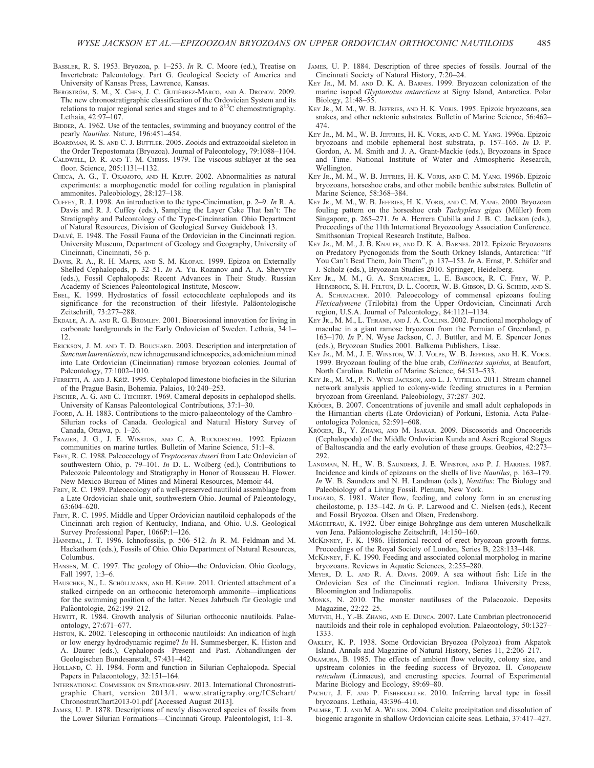- BASSLER, R. S. 1953. Bryozoa, p. 1–253. In R. C. Moore (ed.), Treatise on Invertebrate Paleontology. Part G. Geological Society of America and University of Kansas Press, Lawrence, Kansas.
- BERGSTRÖM, S. M., X. CHEN, J. C. GUTIÉRREZ-MARCO, AND A. DRONOV. 2009. The new chronostratigraphic classification of the Ordovician System and its relations to major regional series and stages and to  $\delta^{13}$ C chemostratigraphy. Lethaia, 42:97–107.
- BIDDER, A. 1962. Use of the tentacles, swimming and buoyancy control of the pearly Nautilus. Nature, 196:451–454.
- BOARDMAN, R. S. AND C. J. BUTTLER. 2005. Zooids and extrazooidal skeleton in the Order Trepostomata (Bryozoa). Journal of Paleontology, 79:1088–1104.
- CALDWELL, D. R. AND T. M. CHRISS. 1979. The viscous sublayer at the sea floor. Science, 205:1131–1132.
- CHECA, A. G., T. OKAMOTO, AND H. KEUPP. 2002. Abnormalities as natural experiments: a morphogenetic model for coiling regulation in planispiral ammonites. Paleobiology, 28:127–138.
- CUFFEY, R. J. 1998. An introduction to the type-Cincinnatian, p. 2–9. In R. A. Davis and R. J. Cuffey (eds.), Sampling the Layer Cake That Isn't: The Stratigraphy and Paleontology of the Type-Cincinnatian. Ohio Department of Natural Resources, Division of Geological Survey Guidebook 13.
- DALVÉ, E. 1948. The Fossil Fauna of the Ordovician in the Cincinnati region. University Museum, Department of Geology and Geography, University of Cincinnati, Cincinnati, 56 p.
- DAVIS, R. A., R. H. MAPES, AND S. M. KLOFAK. 1999. Epizoa on Externally Shelled Cephalopods, p. 32–51. In A. Yu. Rozanov and A. A. Shevyrev (eds.), Fossil Cephalopods: Recent Advances in Their Study. Russian Academy of Sciences Paleontological Institute, Moscow.
- EBEL, K. 1999. Hydrostatics of fossil ectocochleate cephalopods and its significance for the reconstruction of their lifestyle. Paläontologische Zeitschrift, 73:277–288.
- EKDALE, A. A. AND R. G. BROMLEY. 2001. Bioerosional innovation for living in carbonate hardgrounds in the Early Ordovician of Sweden. Lethaia, 34:1– 12.
- ERICKSON, J. M. AND T. D. BOUCHARD. 2003. Description and interpretation of Sanctum laurentiensis, new ichnogenus and ichnospecies, a domichnium mined into Late Ordovician (Cincinnatian) ramose bryozoan colonies. Journal of Paleontology, 77:1002–1010.
- FERRETTI, A. AND J. KŘÍŽ. 1995. Cephalopod limestone biofacies in the Silurian of the Prague Basin, Bohemia. Palaios, 10:240–253.
- FISCHER, A. G. AND C. TEICHERT. 1969. Cameral deposits in cephalopod shells. University of Kansas Paleontological Contributions, 37:1–30.
- FOORD, A. H. 1883. Contributions to the micro-palaeontology of the Cambro– Silurian rocks of Canada. Geological and Natural History Survey of Canada, Ottawa, p. 1–26.
- FRAZIER, J. G., J. E. WINSTON, AND C. A. RUCKDESCHEL. 1992. Epizoan communities on marine turtles. Bulletin of Marine Science, 51:1–8.
- FREY, R. C. 1988. Paleoecology of Treptoceras duseri from Late Ordovician of southwestern Ohio, p. 79–101. In D. L. Wolberg (ed.), Contributions to Paleozoic Paleontology and Stratigraphy in Honor of Rousseau H. Flower. New Mexico Bureau of Mines and Mineral Resources, Memoir 44.
- FREY, R. C. 1989. Paleoecology of a well-preserved nautiloid assemblage from a Late Ordovician shale unit, southwestern Ohio. Journal of Paleontology, 63:604–620.
- FREY, R. C. 1995. Middle and Upper Ordovician nautiloid cephalopods of the Cincinnati arch region of Kentucky, Indiana, and Ohio. U.S. Geological Survey Professional Paper, 1066P:1–126.
- HANNIBAL, J. T. 1996. Ichnofossils, p. 506–512. In R. M. Feldman and M. Hackathorn (eds.), Fossils of Ohio. Ohio Department of Natural Resources, Columbus.
- HANSEN, M. C. 1997. The geology of Ohio—the Ordovician. Ohio Geology, Fall 1997, 1:3–6.
- HAUSCHKE, N., L. SCHÖLLMANN, AND H. KEUPP. 2011. Oriented attachment of a stalked cirripede on an orthoconic heteromorph ammonite—implications for the swimming position of the latter. Neues Jahrbuch für Geologie und Paläontologie, 262:199-212.
- HEWITT, R. 1984. Growth analysis of Silurian orthoconic nautiloids. Palaeontology, 27:671–677.
- HISTON, K. 2002. Telescoping in orthoconic nautiloids: An indication of high or low energy hydrodynamic regime? In H. Summesberger, K. Histon and A. Daurer (eds.), Cephalopods—Present and Past. Abhandlungen der Geologischen Bundesanstalt, 57:431–442.
- HOLLAND, C. H. 1984. Form and function in Silurian Cephalopoda. Special Papers in Palaeontology, 32:151–164.
- INTERNATIONAL COMMISSION ON STRATIGRAPHY. 2013. International Chronostratigraphic Chart, version 2013/1. www.stratigraphy.org/ICSchart/ ChronostratChart2013-01.pdf [Accessed August 2013].
- JAMES, U. P. 1878. Descriptions of newly discovered species of fossils from the Lower Silurian Formations—Cincinnati Group. Paleontologist, 1:1–8.
- JAMES, U. P. 1884. Description of three species of fossils. Journal of the Cincinnati Society of Natural History, 7:20–24.
- KEY JR., M. M. AND D. K. A. BARNES. 1999. Bryozoan colonization of the marine isopod Glyptonotus antarcticus at Signy Island, Antarctica. Polar Biology, 21:48–55.
- KEY JR., M. M., W. B. JEFFRIES, AND H. K. VORIS. 1995. Epizoic bryozoans, sea snakes, and other nektonic substrates. Bulletin of Marine Science, 56:462– 474.
- KEY JR., M. M., W. B. JEFFRIES, H. K. VORIS, AND C. M. YANG. 1996a. Epizoic bryozoans and mobile ephemeral host substrata, p. 157–165. In D. P. Gordon, A. M. Smith and J. A. Grant-Mackie (eds.), Bryozoans in Space and Time. National Institute of Water and Atmospheric Research, Wellington.
- KEY JR., M. M., W. B. JEFFRIES, H. K. VORIS, AND C. M. YANG. 1996b. Epizoic bryozoans, horseshoe crabs, and other mobile benthic substrates. Bulletin of Marine Science, 58:368–384.
- KEY JR., M. M., W. B. JEFFRIES, H. K. VORIS, AND C. M. YANG. 2000. Bryozoan fouling pattern on the horseshoe crab Tachypleus gigas (Müller) from Singapore, p. 265–271. In A. Herrera Cubilla and J. B. C. Jackson (eds.), Proceedings of the 11th International Bryozoology Association Conference. Smithsonian Tropical Research Institute, Balboa.
- KEY JR., M. M., J. B. KNAUFF, AND D. K. A. BARNES. 2012. Epizoic Bryozoans on Predatory Pycnogonids from the South Orkney Islands, Antarctica: ''If You Can't Beat Them, Join Them", p. 137–153. In A. Ernst, P. Schäfer and J. Scholz (eds.), Bryozoan Studies 2010. Springer, Heidelberg.
- KEY JR., M. M., G. A. SCHUMACHER, L. E. BABCOCK, R. C. FREY, W. P. HEIMBROCK, S. H. FELTON, D. L. COOPER, W. B. GIBSON, D. G. SCHEID, AND S. A. SCHUMACHER. 2010. Paleoecology of commensal epizoans fouling Flexicalymene (Trilobita) from the Upper Ordovician, Cincinnati Arch region, U.S.A. Journal of Paleontology, 84:1121–1134.
- KEY JR., M. M., L. THRANE, AND J. A. COLLINS. 2002. Functional morphology of maculae in a giant ramose bryozoan from the Permian of Greenland, p. 163–170. In P. N. Wyse Jackson, C. J. Buttler, and M. E. Spencer Jones (eds.), Bryozoan Studies 2001. Balkema Publishers, Lisse.
- KEY JR., M. M., J. E. WINSTON, W. J. VOLPE, W. B. JEFFRIES, AND H. K. VORIS. 1999. Bryozoan fouling of the blue crab, Callinectes sapidus, at Beaufort, North Carolina. Bulletin of Marine Science, 64:513–533.
- KEY JR., M. M., P. N. WYSE JACKSON, AND L. J. VITIELLO. 2011. Stream channel network analysis applied to colony-wide feeding structures in a Permian bryozoan from Greenland. Paleobiology, 37:287–302.
- KRÖGER, B. 2007. Concentrations of juvenile and small adult cephalopods in the Hirnantian cherts (Late Ordovician) of Porkuni, Estonia. Acta Palaeontologica Polonica, 52:591–608.
- KRÖGER, B., Y. ZHANG, AND M. ISAKAR. 2009. Discosorids and Oncocerids (Cephalopoda) of the Middle Ordovician Kunda and Aseri Regional Stages of Baltoscandia and the early evolution of these groups. Geobios, 42:273– 292.
- LANDMAN, N. H., W. B. SAUNDERS, J. E. WINSTON, AND P. J. HARRIES. 1987. Incidence and kinds of epizoans on the shells of live Nautilus, p. 163–179. In W. B. Saunders and N. H. Landman (eds.), Nautilus: The Biology and Paleobiology of a Living Fossil. Plenum, New York.
- LIDGARD, S. 1981. Water flow, feeding, and colony form in an encrusting cheilostome, p. 135–142. In G. P. Larwood and C. Nielsen (eds.), Recent and Fossil Bryozoa. Olsen and Olsen, Fredensborg.
- MÄGDEFRAU, K. 1932. Über einige Bohrgänge aus dem unteren Muschelkalk von Jena. Paläontologische Zeitschrift, 14:150-160.
- MCKINNEY, F. K. 1986. Historical record of erect bryozoan growth forms. Proceedings of the Royal Society of London, Series B, 228:133–148.
- MCKINNEY, F. K. 1990. Feeding and associated colonial morpholog in marine bryozoans. Reviews in Aquatic Sciences, 2:255–280.
- MEYER, D. L. AND R. A. DAVIS. 2009. A sea without fish: Life in the Ordovician Sea of the Cincinnati region. Indiana University Press, Bloomington and Indianapolis.
- MONKS, N. 2010. The monster nautiluses of the Palaeozoic. Deposits Magazine, 22:22–25.
- MUTVEI, H., Y.-B. ZHANG, AND E. DUNCA. 2007. Late Cambrian plectronocerid nautiloids and their role in cephalopod evolution. Palaeontology, 50:1327– 1333.
- OAKLEY, K. P. 1938. Some Ordovician Bryozoa (Polyzoa) from Akpatok Island. Annals and Magazine of Natural History, Series 11, 2:206–217.
- OKAMURA, B. 1985. The effects of ambient flow velocity, colony size, and upstream colonies in the feeding success of Bryozoa. II. Conopeum reticulum (Linnaeus), and encrusting species. Journal of Experimental Marine Biology and Ecology, 89:69–80.
- PACHUT, J. F. AND P. FISHERKELLER. 2010. Inferring larval type in fossil bryozoans. Lethaia, 43:396–410.
- PALMER, T. J. AND M. A. WILSON. 2004. Calcite precipitation and dissolution of biogenic aragonite in shallow Ordovician calcite seas. Lethaia, 37:417–427.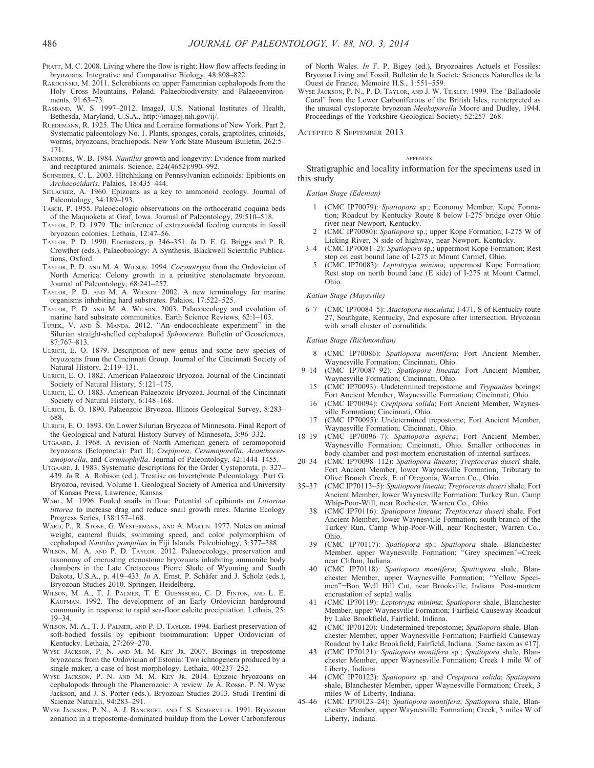- PRATT, M. C. 2008. Living where the flow is right: How flow affects feeding in bryozoans. Integrative and Comparative Biology, 48:808–822.
- RAKOCIŃSKI, M. 2011. Sclerobionts on upper Famennian cephalopods from the Holy Cross Mountains, Poland. Palaeobiodiversity and Palaeoenvironments, 91:63-73.
- RASBAND, W. S. 1997–2012. ImageJ, U.S. National Institutes of Health, Bethesda, Maryland, U.S.A., http://imagej.nih.gov/ij/.
- RUEDEMANN, R. 1925. The Utica and Lorraine formations of New York. Part 2. Systematic paleontology No. 1. Plants, sponges, corals, graptolites, crinoids, worms, bryozoans, brachiopods. New York State Museum Bulletin, 262:5– 171.
- SAUNDERS, W. B. 1984. Nautilus growth and longevity: Evidence from marked and recaptured animals. Science, 224(4652):990–992.
- SCHNEIDER, C. L. 2003. Hitchhiking on Pennsylvanian echinoids: Epibionts on Archaeocidaris. Palaios, 18:435–444.
- SEILACHER, A. 1960. Epizoans as a key to ammonoid ecology. Journal of Paleontology, 34:189–193.
- TASCH, P. 1955. Paleoecologic observations on the orthoceratid coquina beds of the Maquoketa at Graf, Iowa. Journal of Paleontology, 29:510–518.
- TAYLOR, P. D. 1979. The inference of extrazooidal feeding currents in fossil bryozoan colonies. Lethaia, 12:47–56.
- TAYLOR, P. D. 1990. Encrusters, p. 346–351. In D. E. G. Briggs and P. R. Crowther (eds.), Palaeobiology: A Synthesis. Blackwell Scientific Publications, Oxford.
- TAYLOR, P. D. AND M. A. WILSON. 1994. Corynotrypa from the Ordovician of North America: Colony growth in a primitive stenolaemate bryozoan. Journal of Paleontology, 68:241–257.
- TAYLOR, P. D. AND M. A. WILSON. 2002. A new terminology for marine organisms inhabiting hard substrates. Palaios, 17:522–525.
- TAYLOR, P. D. AND M. A. WILSON. 2003. Palaeoecology and evolution of marine hard substrate communities. Earth Science Reviews, 62:1–103.
- TUREK, V. AND Š. MANDA. 2012. "An endocochleate experiment" in the Silurian straight-shelled cephalopod Sphooceras. Bulletin of Geosciences, 87:767–813.
- ULRICH, E. O. 1879. Description of new genus and some new species of bryozoans from the Cincinnati Group. Journal of the Cincinnati Society of Natural History, 2:119–131.
- ULRICH, E. O. 1882. American Palaeozoic Bryozoa. Journal of the Cincinnati Society of Natural History, 5:121–175.
- ULRICH, E. O. 1883. American Palaeozoic Bryozoa. Journal of the Cincinnati Society of Natural History, 6:148–168.
- ULRICH, E. O. 1890. Palaeozoic Bryozoa. Illinois Geological Survey, 8:283– 688.
- ULRICH, E. O. 1893. On Lower Silurian Bryozoa of Minnesota. Final Report of the Geological and Natural History Survey of Minnesota, 3:96–332.
- UTGAARD, J. 1968. A revision of North American genera of ceramoporoid bryozoans (Ectoprocta): Part II; Crepipora, Ceramoporella, Acanthoceramoporella, and Ceramophylla. Journal of Paleontology, 42:1444–1455.
- UTGAARD, J. 1983. Systematic descriptions for the Order Cystoporata, p. 327– 439. In R. A. Robison (ed.), Treatise on Invertebrate Paleontology. Part G. Bryozoa, revised. Volume 1. Geological Society of America and University of Kansas Press, Lawrence, Kansas.
- WAHL, M. 1996. Fouled snails in flow: Potential of epibionts on Littorina littorea to increase drag and reduce snail growth rates. Marine Ecology Progress Series, 138:157–168.
- WARD, P., R. STONE, G. WESTERMANN, AND A. MARTIN. 1977. Notes on animal weight, cameral fluids, swimming speed, and color polymorphism of cephalopod Nautilus pompilius in Fiji Islands. Paleobiology, 3:377–388.
- WILSON, M. A. AND P. D. TAYLOR. 2012. Palaeoecology, preservation and taxonomy of encrusting ctenostome bryozoans inhabiting ammonite body chambers in the Late Cretaceous Pierre Shale of Wyoming and South Dakota, U.S.A., p. 419–433. In A. Ernst, P. Schäfer and J. Scholz (eds.), Bryozoan Studies 2010. Springer, Heidelberg.
- WILSON, M. A., T. J. PALMER, T. E. GUENSBURG, C. D. FINTON, AND L. E. KAUFMAN. 1992. The development of an Early Ordovician hardground community in response to rapid sea-floor calcite precipitation. Lethaia, 25: 19–34.
- WILSON, M. A., T. J. PALMER, AND P. D. TAYLOR. 1994. Earliest preservation of soft-bodied fossils by epibiont bioimmuration: Upper Ordovician of Kentucky. Lethaia, 27:269-270.
- WYSE JACKSON, P. N. AND M. M. KEY JR. 2007. Borings in trepostome bryozoans from the Ordovician of Estonia: Two ichnogenera produced by a single maker, a case of host morphology. Lethaia, 40:237–252.
- WYSE JACKSON, P. N. AND M. M. KEY JR. 2014. Epizoic bryozoans on cephalopods through the Phanerozoic: A review. In A. Rosso, P. N. Wyse Jackson, and J. S. Porter (eds.). Bryozoan Studies 2013. Studi Trentini di Scienze Naturali, 94:283–291.
- WYSE JACKSON, P. N., A. J. BANCROFT, AND I. S. SOMERVILLE. 1991. Bryozoan zonation in a trepostome-dominated buildup from the Lower Carboniferous

of North Wales. In F. P. Bigey (ed.), Bryozoaires Actuels et Fossiles: Bryozoa Living and Fossil. Bulletin de la Societe Sciences Naturelles de la Ouest de France, Mémoire H.S., 1:551-559.

WYSE JACKSON, P. N., P. D. TAYLOR, AND J. W. TILSLEY. 1999. The 'Balladoole Coral' from the Lower Carboniferous of the British Isles, reinterpreted as the unusual cystoporate bryozoan Meekoporella Moore and Dudley, 1944. Proceedings of the Yorkshire Geological Society, 52:257–268.

ACCEPTED 8 SEPTEMBER 2013

## APPENDIX

Stratigraphic and locality information for the specimens used in this study

## Katian Stage (Edenian)

- 1 (CMC IP70079): Spatiopora sp.; Economy Member, Kope Formation; Roadcut by Kentucky Route 8 below I-275 bridge over Ohio river near Newport, Kentucky.
- 2 (CMC IP70080): Spatiopora sp.; upper Kope Formation; I-275 W of Licking River, N side of highway, near Newport, Kentucky.
- 3–4 (CMC IP70081–2): Spatiopora sp.; uppermost Kope Formation; Rest stop on east bound lane of I-275 at Mount Carmel, Ohio.
- 5 (CMC IP70083): Leptotrypa minima; uppermost Kope Formation; Rest stop on north bound lane (E side) of I-275 at Mount Carmel, Ohio.

#### Katian Stage (Maysville)

(CMC IP70084-5): Atactopora maculata; I-471, S of Kentucky route 27, Southgate, Kentucky, 2nd exposure after intersection. Bryozoan with small cluster of cornulitids.

## Katian Stage (Richmondian)

- 8 (CMC IP70086): Spatiopora montifera; Fort Ancient Member, Waynesville Formation; Cincinnati, Ohio.
- 9-14 (CMC IP70087-92): Spatiopora lineata; Fort Ancient Member, Waynesville Formation; Cincinnati, Ohio.
	- 15 (CMC IP70093): Undetermined trepostome and Trypanites borings; Fort Ancient Member, Waynesville Formation; Cincinnati, Ohio.
	- 16 (CMC IP70094): Crepipora solida; Fort Ancient Member, Waynesville Formation; Cincinnati, Ohio.
	- 17 (CMC IP70095): Undetermined trepostome; Fort Ancient Member, Waynesville Formation; Cincinnati, Ohio.
- 18–19 (CMC IP70096–7): Spatiopora aspera; Fort Ancient Member, Waynesville Formation; Cincinnati, Ohio. Smaller orthocones in body chamber and post-mortem encrustation of internal surfaces.
- 20–34 (CMC IP70098–112): Spatiopora lineata; Treptoceras duseri shale, Fort Ancient Member, lower Waynesville Formation; Tributary to Olive Branch Creek, E of Oregonia, Warren Co., Ohio.
- 35–37 (CMC IP70113–5): Spatiopora lineata; Treptoceras duseri shale, Fort Ancient Member, lower Waynesville Formation; Turkey Run, Camp Whip-Poor-Will, near Rochester, Warren Co., Ohio.
	- 38 (CMC IP70116): Spatiopora lineata; Treptoceras duseri shale, Fort Ancient Member, lower Waynesville Formation; south branch of the Turkey Run, Camp Whip-Poor-Will, near Rochester, Warren Co., Ohio.
	- 39 (CMC IP70117): Spatiopora sp.; Spatiopora shale, Blanchester Member, upper Waynesville Formation; "Grey specimen"=Creek near Clifton, Indiana.
	- 40 (CMC IP70118): Spatiopora montifera; Spatiopora shale, Blanchester Member, upper Waynesville Formation; ''Yellow Specimen"=Bon Well Hill Cut, near Brookville, Indiana. Post-mortem encrustation of septal walls.
	- 41 (CMC IP70119): Leptotrypa minima; Spatiopora shale, Blanchester Member, upper Waynesville Formation; Fairfield Causeway Roadcut by Lake Brookfield, Fairfield, Indiana.
	- 42 (CMC IP70120): Undetermined trepostome; Spatiopora shale, Blanchester Member, upper Waynesville Formation; Fairfield Causeway Roadcut by Lake Brookfield, Fairfield, Indiana. [Same taxon as #17].
	- 43 (CMC IP70121): Spatiopora montifera sp.; Spatiopora shale, Blanchester Member, upper Waynesville Formation; Creek 1 mile W of Liberty, Indiana.
	- 44 (CMC IP70122): Spatiopora sp. and Crepipora solida; Spatiopora shale, Blanchester Member, upper Waynesville Formation; Creek, 3 miles W of Liberty, Indiana.
- 45–46 (CMC IP70123–24): Spatiopora montifera; Spatiopora shale, Blanchester Member, upper Waynesville Formation; Creek, 3 miles W of Liberty, Indiana.